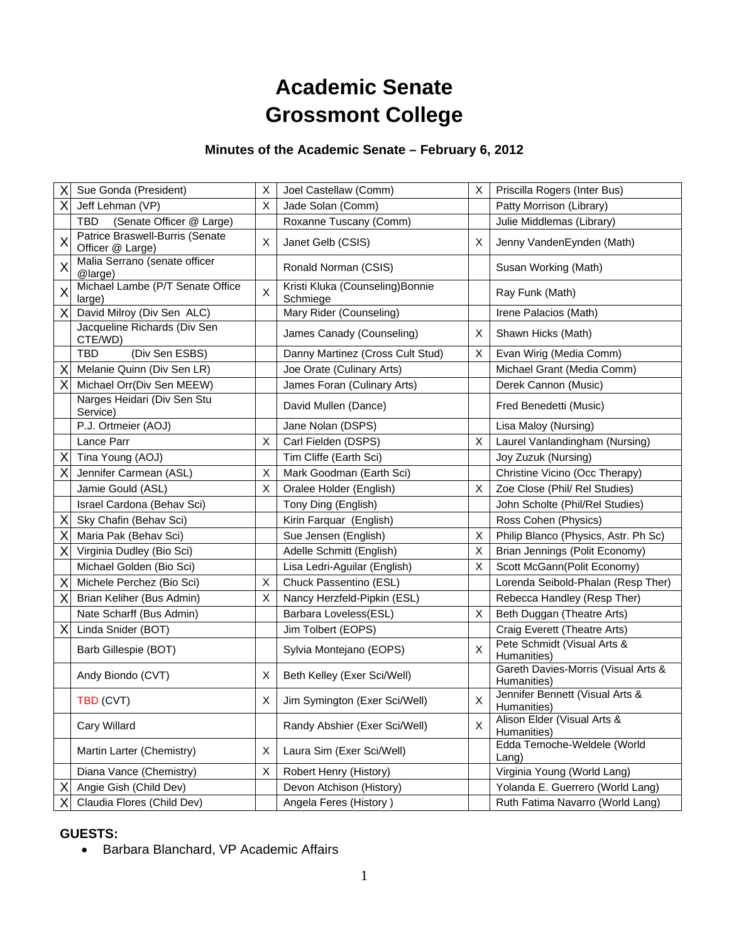# **Academic Senate Grossmont College**

# **Minutes of the Academic Senate – February 6, 2012**

| Χ | Sue Gonda (President)                               | X | Joel Castellaw (Comm)                        | X | Priscilla Rogers (Inter Bus)                       |
|---|-----------------------------------------------------|---|----------------------------------------------|---|----------------------------------------------------|
| Χ | Jeff Lehman (VP)                                    | X | Jade Solan (Comm)                            |   | Patty Morrison (Library)                           |
|   | (Senate Officer @ Large)<br>TBD.                    |   | Roxanne Tuscany (Comm)                       |   | Julie Middlemas (Library)                          |
| X | Patrice Braswell-Burris (Senate<br>Officer @ Large) | X | Janet Gelb (CSIS)                            | X | Jenny VandenEynden (Math)                          |
| Χ | Malia Serrano (senate officer<br>@large)            |   | Ronald Norman (CSIS)                         |   | Susan Working (Math)                               |
| X | Michael Lambe (P/T Senate Office<br>large)          | X | Kristi Kluka (Counseling) Bonnie<br>Schmiege |   | Ray Funk (Math)                                    |
| Χ | David Milroy (Div Sen ALC)                          |   | Mary Rider (Counseling)                      |   | Irene Palacios (Math)                              |
|   | Jacqueline Richards (Div Sen<br>CTE/WD)             |   | James Canady (Counseling)                    | Χ | Shawn Hicks (Math)                                 |
|   | (Div Sen ESBS)<br><b>TBD</b>                        |   | Danny Martinez (Cross Cult Stud)             | Χ | Evan Wirig (Media Comm)                            |
| X | Melanie Quinn (Div Sen LR)                          |   | Joe Orate (Culinary Arts)                    |   | Michael Grant (Media Comm)                         |
| Χ | Michael Orr(Div Sen MEEW)                           |   | James Foran (Culinary Arts)                  |   | Derek Cannon (Music)                               |
|   | Narges Heidari (Div Sen Stu<br>Service)             |   | David Mullen (Dance)                         |   | Fred Benedetti (Music)                             |
|   | P.J. Ortmeier (AOJ)                                 |   | Jane Nolan (DSPS)                            |   | Lisa Maloy (Nursing)                               |
|   | Lance Parr                                          | X | Carl Fielden (DSPS)                          | X | Laurel Vanlandingham (Nursing)                     |
| Χ | Tina Young (AOJ)                                    |   | Tim Cliffe (Earth Sci)                       |   | Joy Zuzuk (Nursing)                                |
| X | Jennifer Carmean (ASL)                              | X | Mark Goodman (Earth Sci)                     |   | Christine Vicino (Occ Therapy)                     |
|   | Jamie Gould (ASL)                                   | X | Oralee Holder (English)                      | X | Zoe Close (Phil/ Rel Studies)                      |
|   | Israel Cardona (Behav Sci)                          |   | Tony Ding (English)                          |   | John Scholte (Phil/Rel Studies)                    |
| Χ | Sky Chafin (Behav Sci)                              |   | Kirin Farquar (English)                      |   | Ross Cohen (Physics)                               |
| X | Maria Pak (Behav Sci)                               |   | Sue Jensen (English)                         | Χ | Philip Blanco (Physics, Astr. Ph Sc)               |
| X | Virginia Dudley (Bio Sci)                           |   | Adelle Schmitt (English)                     | X | Brian Jennings (Polit Economy)                     |
|   | Michael Golden (Bio Sci)                            |   | Lisa Ledri-Aguilar (English)                 | X | Scott McGann(Polit Economy)                        |
| Χ | Michele Perchez (Bio Sci)                           | X | Chuck Passentino (ESL)                       |   | Lorenda Seibold-Phalan (Resp Ther)                 |
| Χ | Brian Keliher (Bus Admin)                           | X | Nancy Herzfeld-Pipkin (ESL)                  |   | Rebecca Handley (Resp Ther)                        |
|   | Nate Scharff (Bus Admin)                            |   | Barbara Loveless(ESL)                        | X | Beth Duggan (Theatre Arts)                         |
| X | Linda Snider (BOT)                                  |   | Jim Tolbert (EOPS)                           |   | Craig Everett (Theatre Arts)                       |
|   | Barb Gillespie (BOT)                                |   | Sylvia Montejano (EOPS)                      | X | Pete Schmidt (Visual Arts &<br>Humanities)         |
|   | Andy Biondo (CVT)                                   | X | Beth Kelley (Exer Sci/Well)                  |   | Gareth Davies-Morris (Visual Arts &<br>Humanities) |
|   | TBD (CVT)                                           | X | Jim Symington (Exer Sci/Well)                | X | Jennifer Bennett (Visual Arts &<br>Humanities)     |
|   | Cary Willard                                        |   | Randy Abshier (Exer Sci/Well)                | X | Alison Elder (Visual Arts &<br>Humanities)         |
|   | Martin Larter (Chemistry)                           | X | Laura Sim (Exer Sci/Well)                    |   | Edda Temoche-Weldele (World<br>Lang)               |
|   | Diana Vance (Chemistry)                             | Х | Robert Henry (History)                       |   | Virginia Young (World Lang)                        |
| Χ | Angie Gish (Child Dev)                              |   | Devon Atchison (History)                     |   | Yolanda E. Guerrero (World Lang)                   |
|   | Claudia Flores (Child Dev)                          |   | Angela Feres (History)                       |   | Ruth Fatima Navarro (World Lang)                   |

## **GUESTS:**

Barbara Blanchard, VP Academic Affairs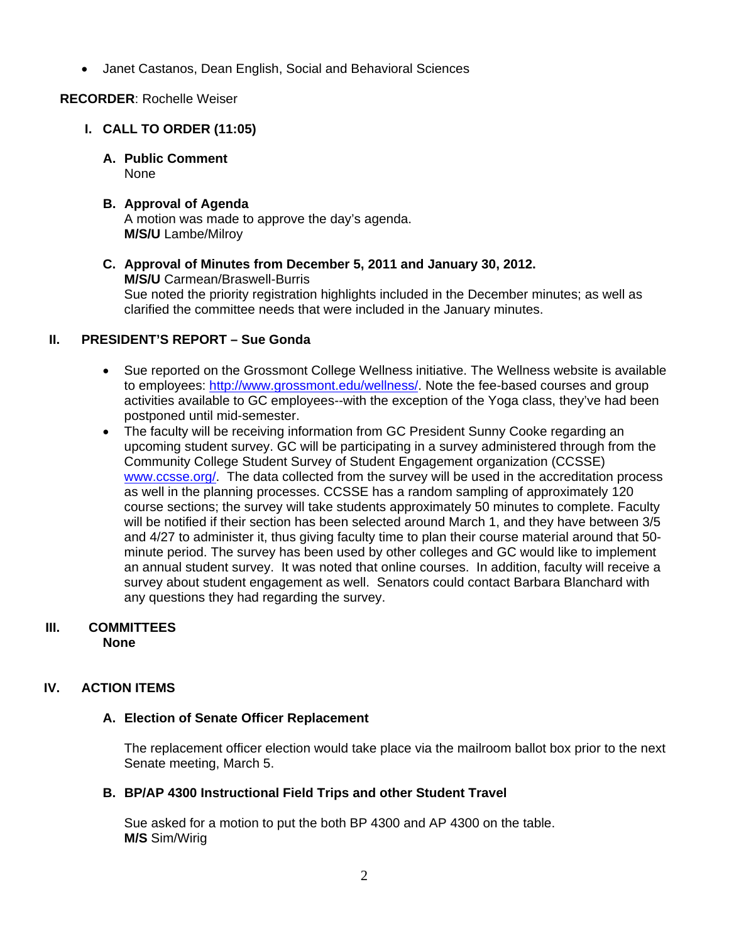Janet Castanos, Dean English, Social and Behavioral Sciences

# **RECORDER**: Rochelle Weiser

# **I. CALL TO ORDER (11:05)**

**A. Public Comment**  None

#### **B. Approval of Agenda**  A motion was made to approve the day's agenda. **M/S/U** Lambe/Milroy

**C. Approval of Minutes from December 5, 2011 and January 30, 2012. M/S/U** Carmean/Braswell-Burris Sue noted the priority registration highlights included in the December minutes; as well as clarified the committee needs that were included in the January minutes.

## **II. PRESIDENT'S REPORT – Sue Gonda**

- Sue reported on the Grossmont College Wellness initiative. The Wellness website is available to employees: http://www.grossmont.edu/wellness/. Note the fee-based courses and group activities available to GC employees--with the exception of the Yoga class, they've had been postponed until mid-semester.
- The faculty will be receiving information from GC President Sunny Cooke regarding an upcoming student survey. GC will be participating in a survey administered through from the Community College Student Survey of Student Engagement organization (CCSSE) www.ccsse.org/. The data collected from the survey will be used in the accreditation process as well in the planning processes. CCSSE has a random sampling of approximately 120 course sections; the survey will take students approximately 50 minutes to complete. Faculty will be notified if their section has been selected around March 1, and they have between 3/5 and 4/27 to administer it, thus giving faculty time to plan their course material around that 50 minute period. The survey has been used by other colleges and GC would like to implement an annual student survey. It was noted that online courses. In addition, faculty will receive a survey about student engagement as well. Senators could contact Barbara Blanchard with any questions they had regarding the survey.

## **III. COMMITTEES None**

# **IV. ACTION ITEMS**

## **A. Election of Senate Officer Replacement**

The replacement officer election would take place via the mailroom ballot box prior to the next Senate meeting, March 5.

## **B. BP/AP 4300 Instructional Field Trips and other Student Travel**

Sue asked for a motion to put the both BP 4300 and AP 4300 on the table. **M/S** Sim/Wirig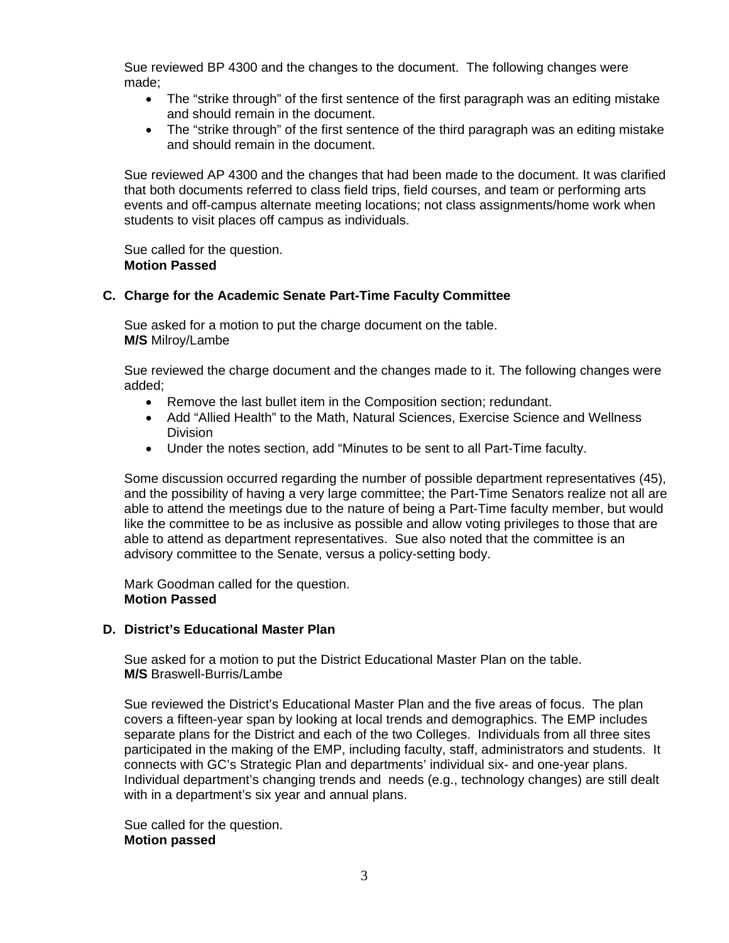Sue reviewed BP 4300 and the changes to the document. The following changes were made;

- The "strike through" of the first sentence of the first paragraph was an editing mistake and should remain in the document.
- The "strike through" of the first sentence of the third paragraph was an editing mistake and should remain in the document.

Sue reviewed AP 4300 and the changes that had been made to the document. It was clarified that both documents referred to class field trips, field courses, and team or performing arts events and off-campus alternate meeting locations; not class assignments/home work when students to visit places off campus as individuals.

Sue called for the question. **Motion Passed** 

## **C. Charge for the Academic Senate Part-Time Faculty Committee**

Sue asked for a motion to put the charge document on the table. **M/S** Milroy/Lambe

Sue reviewed the charge document and the changes made to it. The following changes were added;

- Remove the last bullet item in the Composition section; redundant.
- Add "Allied Health" to the Math, Natural Sciences, Exercise Science and Wellness Division
- Under the notes section, add "Minutes to be sent to all Part-Time faculty.

Some discussion occurred regarding the number of possible department representatives (45), and the possibility of having a very large committee; the Part-Time Senators realize not all are able to attend the meetings due to the nature of being a Part-Time faculty member, but would like the committee to be as inclusive as possible and allow voting privileges to those that are able to attend as department representatives. Sue also noted that the committee is an advisory committee to the Senate, versus a policy-setting body.

Mark Goodman called for the question. **Motion Passed** 

## **D. District's Educational Master Plan**

Sue asked for a motion to put the District Educational Master Plan on the table. **M/S** Braswell-Burris/Lambe

Sue reviewed the District's Educational Master Plan and the five areas of focus. The plan covers a fifteen-year span by looking at local trends and demographics. The EMP includes separate plans for the District and each of the two Colleges. Individuals from all three sites participated in the making of the EMP, including faculty, staff, administrators and students. It connects with GC's Strategic Plan and departments' individual six- and one-year plans. Individual department's changing trends and needs (e.g., technology changes) are still dealt with in a department's six year and annual plans.

Sue called for the question. **Motion passed**